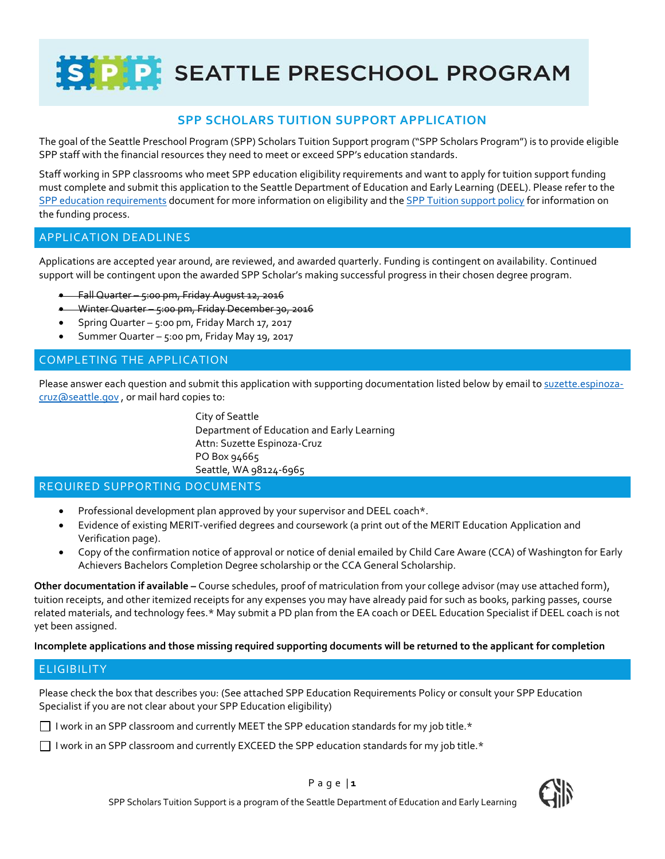SIPP SEATTLE PRESCHOOL PROGRAM

# **SPP SCHOLARS TUITION SUPPORT APPLICATION**

The goal of the Seattle Preschool Program (SPP) Scholars Tuition Support program ("SPP Scholars Program") is to provide eligible SPP staff with the financial resources they need to meet or exceed SPP's education standards.

Staff working in SPP classrooms who meet SPP education eligibility requirements and want to apply for tuition support funding must complete and submit this application to the Seattle Department of Education and Early Learning (DEEL). Please refer to the [SPP education requirements](file://///Cosfs01/doe/Data/DEEL/2-Programs/EarlyLearningPrgms/5-EL-PolicyDev/2016-07-01_SPP_Meeting_Requirements_FINAL.pdf) document for more information on eligibility and the SPP Tuition [support policy](file://///Cosfs01/doe/Data/DEEL/2-Programs/EarlyLearningPrgms/5-EL-PolicyDev/5-SPP-Staff-Tuition/2016_SPP-Scholars-Tuition-Support-Program_FINAL.pdf) for information on the funding process.

### APPLICATION DEADLINES

Applications are accepted year around, are reviewed, and awarded quarterly. Funding is contingent on availability. Continued support will be contingent upon the awarded SPP Scholar's making successful progress in their chosen degree program.

- Fall Quarter 5:00 pm, Friday August 12, 2016
- Winter Quarter 5:00 pm, Friday December 30, 2016
- Spring Quarter 5:00 pm, Friday March 17, 2017
- Summer Quarter 5:00 pm, Friday May 19, 2017

### COMPLETING THE APPLICATION

Please answer each question and submit this application with supporting documentation listed below by email to [suzette.espinoza](mailto:suzette.espinoza-cruz@seattle.gov)[cruz@seattle.gov](mailto:suzette.espinoza-cruz@seattle.gov) , or mail hard copies to:

> City of Seattle Department of Education and Early Learning Attn: Suzette Espinoza-Cruz PO Box 94665 Seattle, WA 98124-6965

### REQUIRED SUPPORTING DOCUMENTS

- Professional development plan approved by your supervisor and DEEL coach\*.
- Evidence of existing MERIT-verified degrees and coursework (a print out of the MERIT Education Application and Verification page).
- Copy of the confirmation notice of approval or notice of denial emailed by Child Care Aware (CCA) of Washington for Early Achievers Bachelors Completion Degree scholarship or the CCA General Scholarship.

**Other documentation if available –** Course schedules, proof of matriculation from your college advisor (may use attached form), tuition receipts, and other itemized receipts for any expenses you may have already paid for such as books, parking passes, course related materials, and technology fees.\* May submit a PD plan from the EA coach or DEEL Education Specialist if DEEL coach is not yet been assigned.

#### **Incomplete applications and those missing required supporting documents will be returned to the applicant for completion**

### **ELIGIBILITY**

Please check the box that describes you: (See attached SPP Education Requirements Policy or consult your SPP Education Specialist if you are not clear about your SPP Education eligibility)

I work in an SPP classroom and currently MEET the SPP education standards for my job title.\*

I work in an SPP classroom and currently EXCEED the SPP education standards for my job title.\*





P a g e | **1**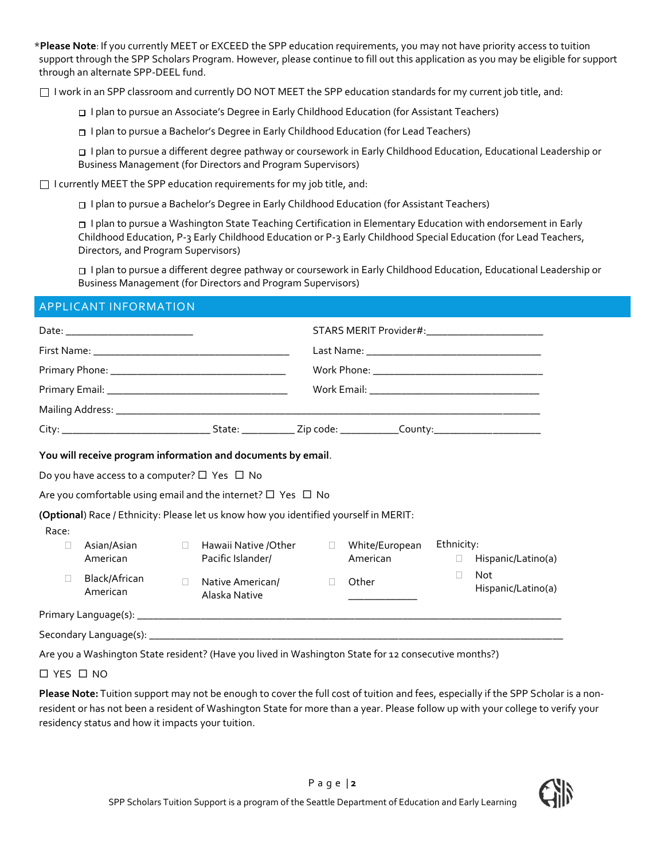\***Please Note**: If you currently MEET or EXCEED the SPP education requirements, you may not have priority access to tuition support through the SPP Scholars Program. However, please continue to fill out this application as you may be eligible for support through an alternate SPP-DEEL fund.

 $\Box$  I work in an SPP classroom and currently DO NOT MEET the SPP education standards for my current job title, and:

I plan to pursue an Associate's Degree in Early Childhood Education (for Assistant Teachers)

I plan to pursue a Bachelor's Degree in Early Childhood Education (for Lead Teachers)

 I plan to pursue a different degree pathway or coursework in Early Childhood Education, Educational Leadership or Business Management (for Directors and Program Supervisors)

 $\Box$  I currently MEET the SPP education requirements for my job title, and:

I plan to pursue a Bachelor's Degree in Early Childhood Education (for Assistant Teachers)

 I plan to pursue a Washington State Teaching Certification in Elementary Education with endorsement in Early Childhood Education, P-3 Early Childhood Education or P-3 Early Childhood Special Education (for Lead Teachers, Directors, and Program Supervisors)

 I plan to pursue a different degree pathway or coursework in Early Childhood Education, Educational Leadership or Business Management (for Directors and Program Supervisors)

### APPLICANT INFORMATION

|       | Do you have access to a computer? $\Box$ Yes $\Box$ No |        | You will receive program information and documents by email.<br>Are you comfortable using email and the internet? $\Box$ Yes $\Box$ No |        |                                                             |                      |                           |  |
|-------|--------------------------------------------------------|--------|----------------------------------------------------------------------------------------------------------------------------------------|--------|-------------------------------------------------------------|----------------------|---------------------------|--|
| Race: |                                                        |        | (Optional) Race / Ethnicity: Please let us know how you identified yourself in MERIT:                                                  |        |                                                             |                      |                           |  |
| П     | Asian/Asian<br>American                                | $\Box$ | Hawaii Native /Other<br>Pacific Islander/                                                                                              | $\Box$ | White/European<br>American                                  | Ethnicity:<br>$\Box$ | Hispanic/Latino(a)        |  |
| П     | Black/African<br>American                              | $\Box$ | Native American/<br>Alaska Native                                                                                                      | П      | Other<br><u> 1980 - Andrea Andrewski, politik politik (</u> | П                    | Not<br>Hispanic/Latino(a) |  |
|       |                                                        |        |                                                                                                                                        |        |                                                             |                      |                           |  |
|       |                                                        |        |                                                                                                                                        |        |                                                             |                      |                           |  |
|       |                                                        |        | Are you a Washington State resident? (Have you lived in Washington State for 12 consecutive months?)                                   |        |                                                             |                      |                           |  |

□ YES □ NO

**Please Note:** Tuition support may not be enough to cover the full cost of tuition and fees, especially if the SPP Scholar is a nonresident or has not been a resident of Washington State for more than a year. Please follow up with your college to verify your residency status and how it impacts your tuition.

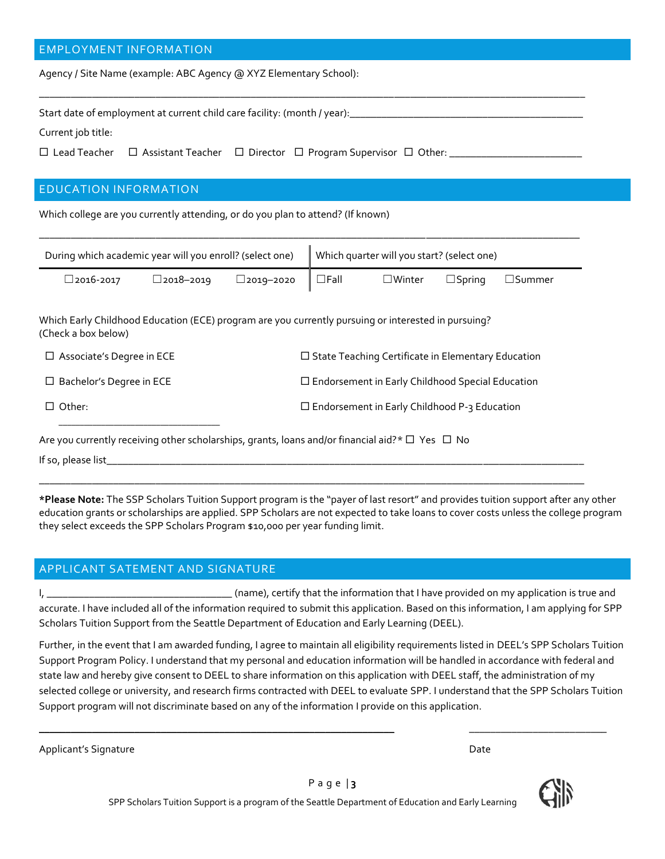### EMPLOYMENT INFORMATION

Agency / Site Name (example: ABC Agency @ XYZ Elementary School):

Start date of employment at current child care facility: (month / year): \_\_\_\_\_\_\_\_

Current job title:

Lead Teacher Assistant Teacher Director Program Supervisor Other: \_\_\_\_\_\_\_\_\_\_\_\_\_\_\_\_\_\_\_\_\_\_\_\_\_

## EDUCATION INFORMATION

Which college are you currently attending, or do you plan to attend? (If known)

| During which academic year will you enroll? (select one) | Which quarter will you start? (select one) |                     |                          |                  |                  |                  |
|----------------------------------------------------------|--------------------------------------------|---------------------|--------------------------|------------------|------------------|------------------|
| $\square$ 2016-2017                                      | $\square$ 2018–2019                        | $\square$ 2019–2020 | $\mathsf{I} \ \Box$ Fall | $\square$ Winter | $\square$ Spring | $\square$ Summer |

\_\_\_\_\_\_\_\_\_\_\_\_\_\_\_\_\_\_\_\_\_\_\_\_\_\_\_\_\_\_\_\_\_\_\_\_\_\_\_\_\_\_\_\_\_\_\_\_\_\_\_\_\_\_\_\_\_\_\_\_\_\_\_\_\_\_\_\_\_\_\_\_\_\_\_\_\_\_\_\_\_\_\_\_\_\_\_\_\_\_\_\_\_\_\_\_\_\_\_\_\_\_\_

Which Early Childhood Education (ECE) program are you currently pursuing or interested in pursuing? (Check a box below)

| $\Box$ Associate's Degree in ECE | $\Box$ State Teaching Certificate in Elementary Education |
|----------------------------------|-----------------------------------------------------------|
| $\Box$ Bachelor's Degree in ECE  | $\Box$ Endorsement in Early Childhood Special Education   |
| $\Box$ Other:                    | $\Box$ Endorsement in Early Childhood P-3 Education       |

Are you currently receiving other scholarships, grants, loans and/or financial aid?\*  $\Box$  Yes  $\Box$  No

If so, please list\_

**\*Please Note:** The SSP Scholars Tuition Support program is the "payer of last resort" and provides tuition support after any other education grants or scholarships are applied. SPP Scholars are not expected to take loans to cover costs unless the college program they select exceeds the SPP Scholars Program \$10,000 per year funding limit.

**\_\_\_\_\_\_\_\_\_\_\_\_\_\_\_\_\_\_\_\_\_\_\_\_\_\_\_\_\_\_\_\_\_\_\_\_\_\_\_\_\_\_\_\_\_\_\_\_\_\_\_\_\_\_\_\_\_\_\_\_\_\_\_\_\_\_\_\_\_\_\_\_\_\_\_\_\_\_\_\_\_\_\_\_\_\_\_\_\_\_\_\_\_\_\_\_\_\_\_\_\_\_\_**

### APPLICANT SATEMENT AND SIGNATURE

I, \_\_\_\_\_\_\_\_\_\_\_\_\_\_\_\_\_\_\_\_\_\_\_\_\_\_\_\_\_\_\_\_\_\_\_ (name), certify that the information that I have provided on my application is true and accurate. I have included all of the information required to submit this application. Based on this information, I am applying for SPP Scholars Tuition Support from the Seattle Department of Education and Early Learning (DEEL).

Further, in the event that I am awarded funding, I agree to maintain all eligibility requirements listed in DEEL's SPP Scholars Tuition Support Program Policy. I understand that my personal and education information will be handled in accordance with federal and state law and hereby give consent to DEEL to share information on this application with DEEL staff, the administration of my selected college or university, and research firms contracted with DEEL to evaluate SPP. I understand that the SPP Scholars Tuition Support program will not discriminate based on any of the information I provide on this application.

\_\_\_\_\_\_\_\_\_\_\_\_\_\_\_\_\_\_\_\_\_\_\_\_\_\_\_\_\_\_\_\_\_\_\_\_\_\_\_\_\_\_\_\_\_\_\_\_\_\_\_\_\_\_\_\_\_\_\_\_\_\_\_\_\_\_\_ \_\_\_\_\_\_\_\_\_\_\_\_\_\_\_\_\_\_\_\_\_\_\_\_\_\_

Applicant's Signature **Date of Applicant's Signature**  $\blacksquare$ 

SPP Scholars Tuition Support is a program of the Seattle Department of Education and Early Learning